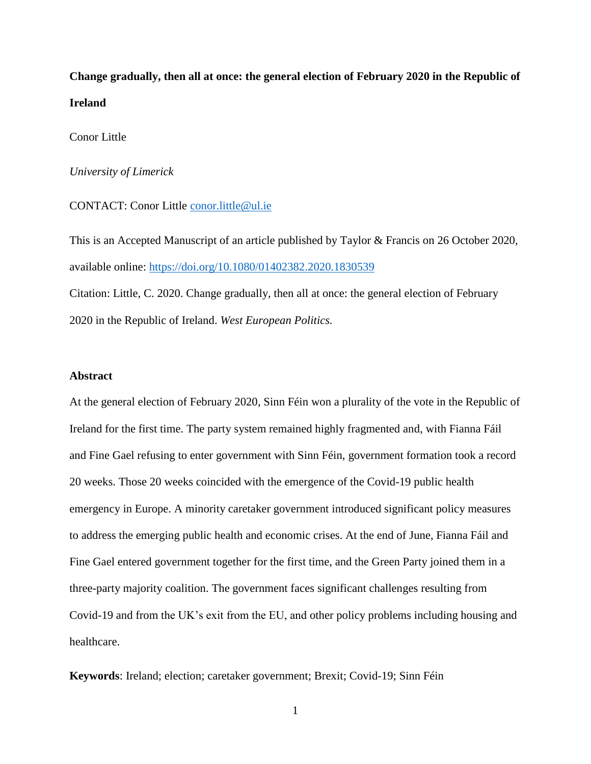**Change gradually, then all at once: the general election of February 2020 in the Republic of Ireland**

Conor Little

*University of Limerick*

CONTACT: Conor Little [conor.little@ul.ie](mailto:conor.little@ul.ie)

This is an Accepted Manuscript of an article published by Taylor & Francis on 26 October 2020, available online:<https://doi.org/10.1080/01402382.2020.1830539> Citation: Little, C. 2020. Change gradually, then all at once: the general election of February 2020 in the Republic of Ireland. *West European Politics.*

# **Abstract**

At the general election of February 2020, Sinn Féin won a plurality of the vote in the Republic of Ireland for the first time. The party system remained highly fragmented and, with Fianna Fáil and Fine Gael refusing to enter government with Sinn Féin, government formation took a record 20 weeks. Those 20 weeks coincided with the emergence of the Covid-19 public health emergency in Europe. A minority caretaker government introduced significant policy measures to address the emerging public health and economic crises. At the end of June, Fianna Fáil and Fine Gael entered government together for the first time, and the Green Party joined them in a three-party majority coalition. The government faces significant challenges resulting from Covid-19 and from the UK's exit from the EU, and other policy problems including housing and healthcare.

**Keywords**: Ireland; election; caretaker government; Brexit; Covid-19; Sinn Féin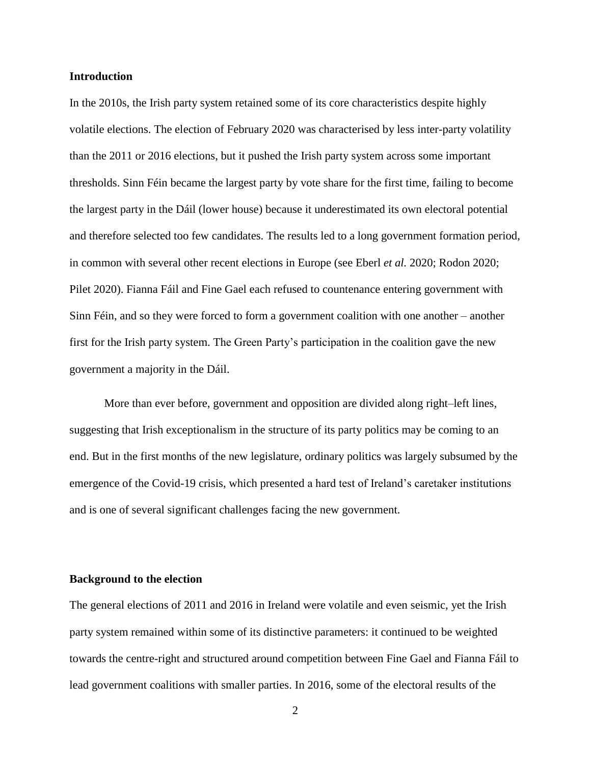### **Introduction**

In the 2010s, the Irish party system retained some of its core characteristics despite highly volatile elections. The election of February 2020 was characterised by less inter-party volatility than the 2011 or 2016 elections, but it pushed the Irish party system across some important thresholds. Sinn Féin became the largest party by vote share for the first time, failing to become the largest party in the Dáil (lower house) because it underestimated its own electoral potential and therefore selected too few candidates. The results led to a long government formation period, in common with several other recent elections in Europe (see Eberl *et al.* 2020; Rodon 2020; Pilet 2020). Fianna Fáil and Fine Gael each refused to countenance entering government with Sinn Féin, and so they were forced to form a government coalition with one another – another first for the Irish party system. The Green Party's participation in the coalition gave the new government a majority in the Dáil.

More than ever before, government and opposition are divided along right–left lines, suggesting that Irish exceptionalism in the structure of its party politics may be coming to an end. But in the first months of the new legislature, ordinary politics was largely subsumed by the emergence of the Covid-19 crisis, which presented a hard test of Ireland's caretaker institutions and is one of several significant challenges facing the new government.

# **Background to the election**

The general elections of 2011 and 2016 in Ireland were volatile and even seismic, yet the Irish party system remained within some of its distinctive parameters: it continued to be weighted towards the centre-right and structured around competition between Fine Gael and Fianna Fáil to lead government coalitions with smaller parties. In 2016, some of the electoral results of the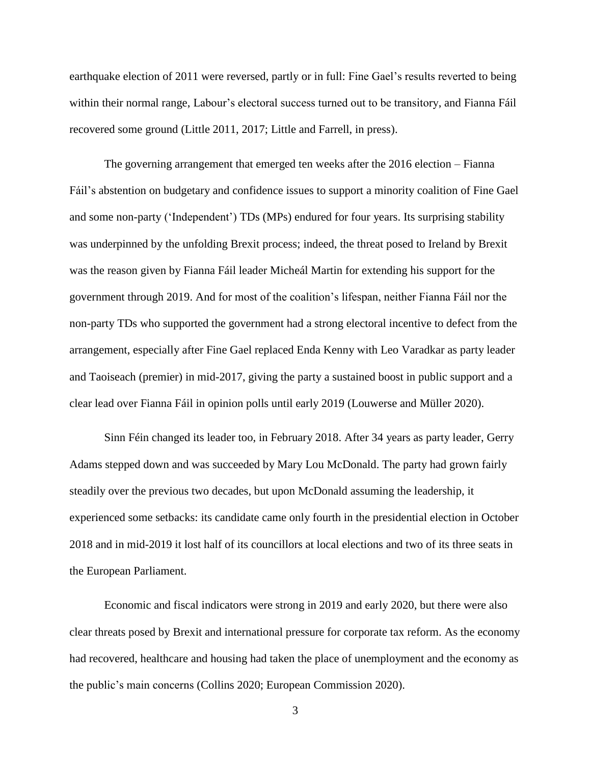earthquake election of 2011 were reversed, partly or in full: Fine Gael's results reverted to being within their normal range, Labour's electoral success turned out to be transitory, and Fianna Fáil recovered some ground (Little 2011, 2017; Little and Farrell, in press).

The governing arrangement that emerged ten weeks after the 2016 election – Fianna Fáil's abstention on budgetary and confidence issues to support a minority coalition of Fine Gael and some non-party ('Independent') TDs (MPs) endured for four years. Its surprising stability was underpinned by the unfolding Brexit process; indeed, the threat posed to Ireland by Brexit was the reason given by Fianna Fáil leader Micheál Martin for extending his support for the government through 2019. And for most of the coalition's lifespan, neither Fianna Fáil nor the non-party TDs who supported the government had a strong electoral incentive to defect from the arrangement, especially after Fine Gael replaced Enda Kenny with Leo Varadkar as party leader and Taoiseach (premier) in mid-2017, giving the party a sustained boost in public support and a clear lead over Fianna Fáil in opinion polls until early 2019 (Louwerse and Müller 2020).

Sinn Féin changed its leader too, in February 2018. After 34 years as party leader, Gerry Adams stepped down and was succeeded by Mary Lou McDonald. The party had grown fairly steadily over the previous two decades, but upon McDonald assuming the leadership, it experienced some setbacks: its candidate came only fourth in the presidential election in October 2018 and in mid-2019 it lost half of its councillors at local elections and two of its three seats in the European Parliament.

Economic and fiscal indicators were strong in 2019 and early 2020, but there were also clear threats posed by Brexit and international pressure for corporate tax reform. As the economy had recovered, healthcare and housing had taken the place of unemployment and the economy as the public's main concerns (Collins 2020; European Commission 2020).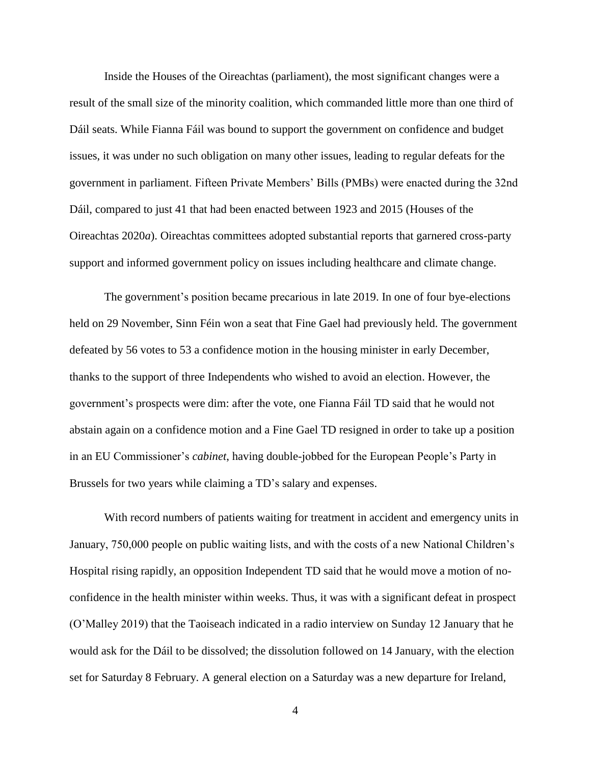Inside the Houses of the Oireachtas (parliament), the most significant changes were a result of the small size of the minority coalition, which commanded little more than one third of Dáil seats. While Fianna Fáil was bound to support the government on confidence and budget issues, it was under no such obligation on many other issues, leading to regular defeats for the government in parliament. Fifteen Private Members' Bills (PMBs) were enacted during the 32nd Dáil, compared to just 41 that had been enacted between 1923 and 2015 (Houses of the Oireachtas 2020*a*). Oireachtas committees adopted substantial reports that garnered cross-party support and informed government policy on issues including healthcare and climate change.

The government's position became precarious in late 2019. In one of four bye-elections held on 29 November, Sinn Féin won a seat that Fine Gael had previously held. The government defeated by 56 votes to 53 a confidence motion in the housing minister in early December, thanks to the support of three Independents who wished to avoid an election. However, the government's prospects were dim: after the vote, one Fianna Fáil TD said that he would not abstain again on a confidence motion and a Fine Gael TD resigned in order to take up a position in an EU Commissioner's *cabinet*, having double-jobbed for the European People's Party in Brussels for two years while claiming a TD's salary and expenses.

With record numbers of patients waiting for treatment in accident and emergency units in January, 750,000 people on public waiting lists, and with the costs of a new National Children's Hospital rising rapidly, an opposition Independent TD said that he would move a motion of noconfidence in the health minister within weeks. Thus, it was with a significant defeat in prospect (O'Malley 2019) that the Taoiseach indicated in a radio interview on Sunday 12 January that he would ask for the Dáil to be dissolved; the dissolution followed on 14 January, with the election set for Saturday 8 February. A general election on a Saturday was a new departure for Ireland,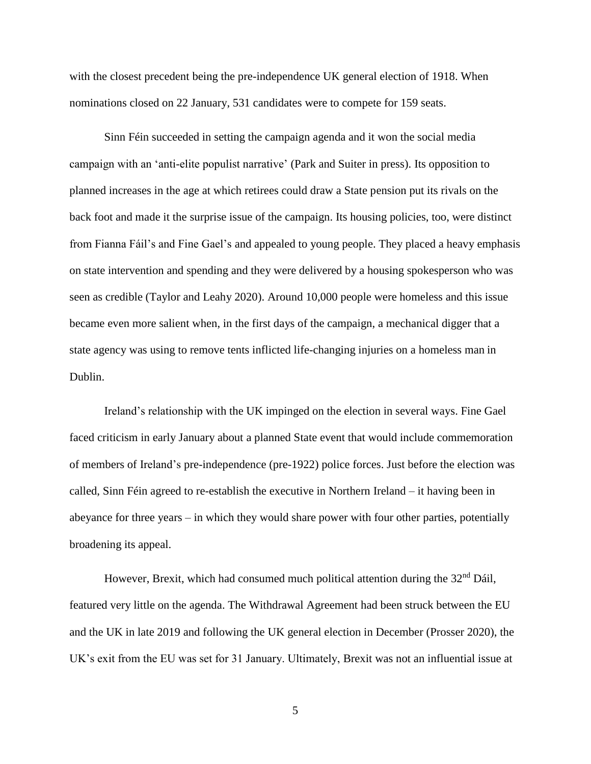with the closest precedent being the pre-independence UK general election of 1918. When nominations closed on 22 January, 531 candidates were to compete for 159 seats.

Sinn Féin succeeded in setting the campaign agenda and it won the social media campaign with an 'anti-elite populist narrative' (Park and Suiter in press). Its opposition to planned increases in the age at which retirees could draw a State pension put its rivals on the back foot and made it the surprise issue of the campaign. Its housing policies, too, were distinct from Fianna Fáil's and Fine Gael's and appealed to young people. They placed a heavy emphasis on state intervention and spending and they were delivered by a housing spokesperson who was seen as credible (Taylor and Leahy 2020). Around 10,000 people were homeless and this issue became even more salient when, in the first days of the campaign, a mechanical digger that a state agency was using to remove tents inflicted life-changing injuries on a homeless man in Dublin.

Ireland's relationship with the UK impinged on the election in several ways. Fine Gael faced criticism in early January about a planned State event that would include commemoration of members of Ireland's pre-independence (pre-1922) police forces. Just before the election was called, Sinn Féin agreed to re-establish the executive in Northern Ireland – it having been in abeyance for three years – in which they would share power with four other parties, potentially broadening its appeal.

However, Brexit, which had consumed much political attention during the  $32<sup>nd</sup>$  Dáil, featured very little on the agenda. The Withdrawal Agreement had been struck between the EU and the UK in late 2019 and following the UK general election in December (Prosser 2020), the UK's exit from the EU was set for 31 January. Ultimately, Brexit was not an influential issue at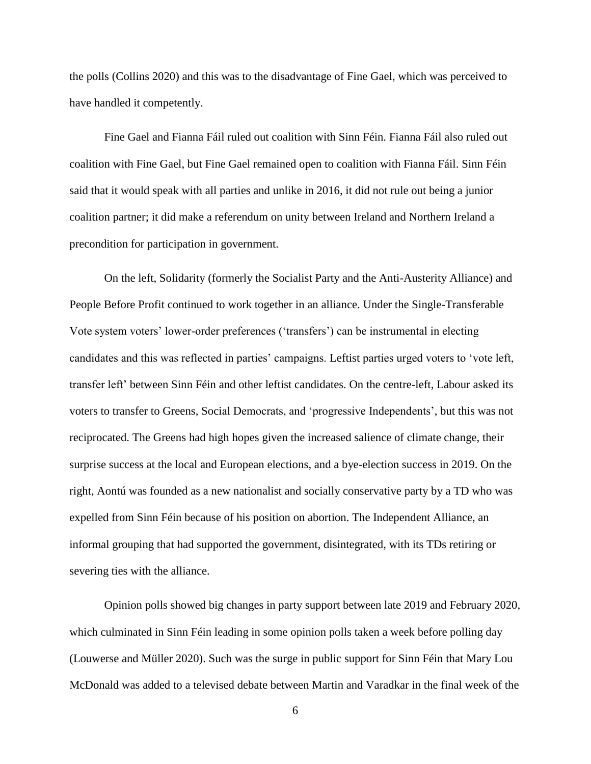the polls (Collins 2020) and this was to the disadvantage of Fine Gael, which was perceived to have handled it competently.

Fine Gael and Fianna Fáil ruled out coalition with Sinn Féin. Fianna Fáil also ruled out coalition with Fine Gael, but Fine Gael remained open to coalition with Fianna Fáil. Sinn Féin said that it would speak with all parties and unlike in 2016, it did not rule out being a junior coalition partner; it did make a referendum on unity between Ireland and Northern Ireland a precondition for participation in government.

On the left, Solidarity (formerly the Socialist Party and the Anti-Austerity Alliance) and People Before Profit continued to work together in an alliance. Under the Single-Transferable Vote system voters' lower-order preferences ('transfers') can be instrumental in electing candidates and this was reflected in parties' campaigns. Leftist parties urged voters to 'vote left, transfer left' between Sinn Féin and other leftist candidates. On the centre-left, Labour asked its voters to transfer to Greens, Social Democrats, and 'progressive Independents', but this was not reciprocated. The Greens had high hopes given the increased salience of climate change, their surprise success at the local and European elections, and a bye-election success in 2019. On the right, Aontú was founded as a new nationalist and socially conservative party by a TD who was expelled from Sinn Féin because of his position on abortion. The Independent Alliance, an informal grouping that had supported the government, disintegrated, with its TDs retiring or severing ties with the alliance.

Opinion polls showed big changes in party support between late 2019 and February 2020, which culminated in Sinn Féin leading in some opinion polls taken a week before polling day (Louwerse and Müller 2020). Such was the surge in public support for Sinn Féin that Mary Lou McDonald was added to a televised debate between Martin and Varadkar in the final week of the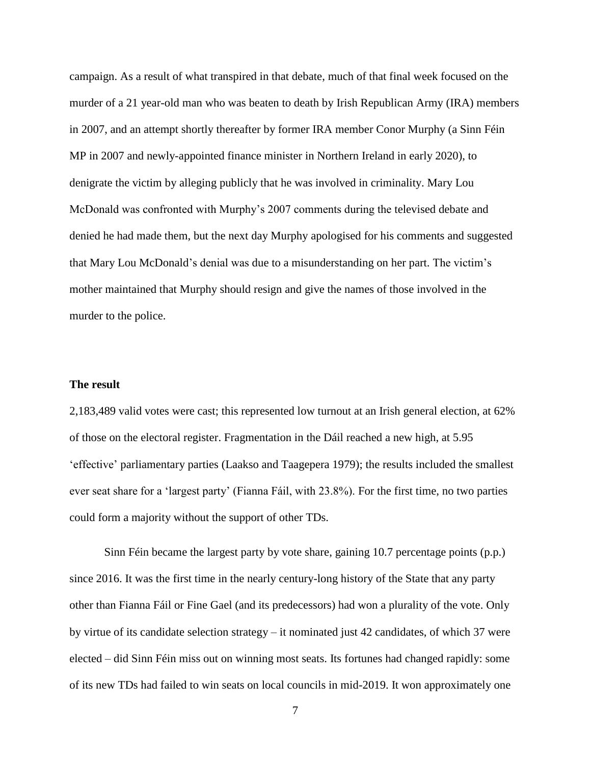campaign. As a result of what transpired in that debate, much of that final week focused on the murder of a 21 year-old man who was beaten to death by Irish Republican Army (IRA) members in 2007, and an attempt shortly thereafter by former IRA member Conor Murphy (a Sinn Féin MP in 2007 and newly-appointed finance minister in Northern Ireland in early 2020), to denigrate the victim by alleging publicly that he was involved in criminality. Mary Lou McDonald was confronted with Murphy's 2007 comments during the televised debate and denied he had made them, but the next day Murphy apologised for his comments and suggested that Mary Lou McDonald's denial was due to a misunderstanding on her part. The victim's mother maintained that Murphy should resign and give the names of those involved in the murder to the police.

### **The result**

2,183,489 valid votes were cast; this represented low turnout at an Irish general election, at 62% of those on the electoral register. Fragmentation in the Dáil reached a new high, at 5.95 'effective' parliamentary parties (Laakso and Taagepera 1979); the results included the smallest ever seat share for a 'largest party' (Fianna Fáil, with 23.8%). For the first time, no two parties could form a majority without the support of other TDs.

Sinn Féin became the largest party by vote share, gaining 10.7 percentage points (p.p.) since 2016. It was the first time in the nearly century-long history of the State that any party other than Fianna Fáil or Fine Gael (and its predecessors) had won a plurality of the vote. Only by virtue of its candidate selection strategy – it nominated just 42 candidates, of which 37 were elected – did Sinn Féin miss out on winning most seats. Its fortunes had changed rapidly: some of its new TDs had failed to win seats on local councils in mid-2019. It won approximately one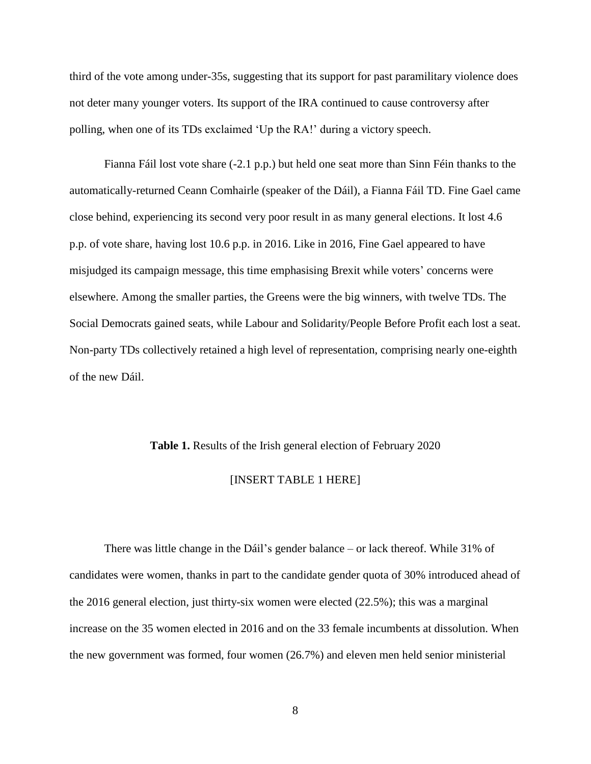third of the vote among under-35s, suggesting that its support for past paramilitary violence does not deter many younger voters. Its support of the IRA continued to cause controversy after polling, when one of its TDs exclaimed 'Up the RA!' during a victory speech.

Fianna Fáil lost vote share (-2.1 p.p.) but held one seat more than Sinn Féin thanks to the automatically-returned Ceann Comhairle (speaker of the Dáil), a Fianna Fáil TD. Fine Gael came close behind, experiencing its second very poor result in as many general elections. It lost 4.6 p.p. of vote share, having lost 10.6 p.p. in 2016. Like in 2016, Fine Gael appeared to have misjudged its campaign message, this time emphasising Brexit while voters' concerns were elsewhere. Among the smaller parties, the Greens were the big winners, with twelve TDs. The Social Democrats gained seats, while Labour and Solidarity/People Before Profit each lost a seat. Non-party TDs collectively retained a high level of representation, comprising nearly one-eighth of the new Dáil.

#### **Table 1.** Results of the Irish general election of February 2020

# [INSERT TABLE 1 HERE]

There was little change in the Dáil's gender balance – or lack thereof. While 31% of candidates were women, thanks in part to the candidate gender quota of 30% introduced ahead of the 2016 general election, just thirty-six women were elected (22.5%); this was a marginal increase on the 35 women elected in 2016 and on the 33 female incumbents at dissolution. When the new government was formed, four women (26.7%) and eleven men held senior ministerial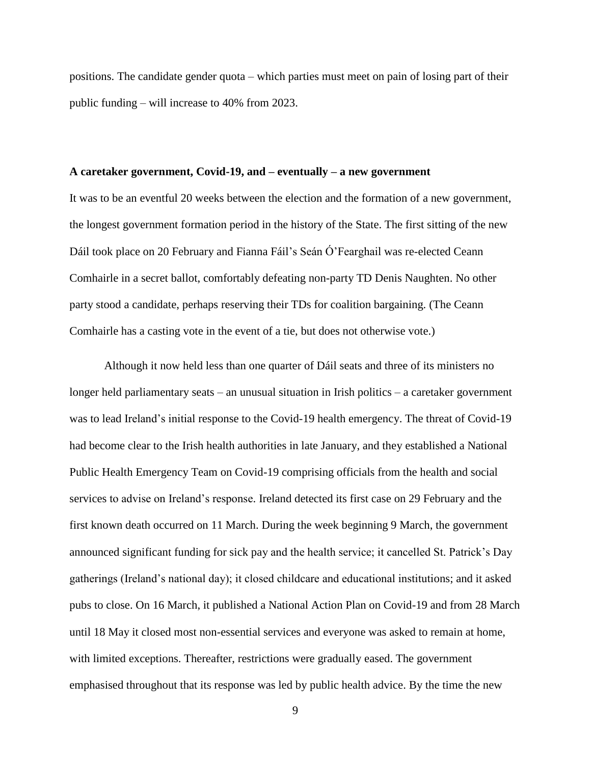positions. The candidate gender quota – which parties must meet on pain of losing part of their public funding – will increase to 40% from 2023.

# **A caretaker government, Covid-19, and – eventually – a new government**

It was to be an eventful 20 weeks between the election and the formation of a new government, the longest government formation period in the history of the State. The first sitting of the new Dáil took place on 20 February and Fianna Fáil's Seán Ó'Fearghail was re-elected Ceann Comhairle in a secret ballot, comfortably defeating non-party TD Denis Naughten. No other party stood a candidate, perhaps reserving their TDs for coalition bargaining. (The Ceann Comhairle has a casting vote in the event of a tie, but does not otherwise vote.)

Although it now held less than one quarter of Dáil seats and three of its ministers no longer held parliamentary seats – an unusual situation in Irish politics – a caretaker government was to lead Ireland's initial response to the Covid-19 health emergency. The threat of Covid-19 had become clear to the Irish health authorities in late January, and they established a National Public Health Emergency Team on Covid-19 comprising officials from the health and social services to advise on Ireland's response. Ireland detected its first case on 29 February and the first known death occurred on 11 March. During the week beginning 9 March, the government announced significant funding for sick pay and the health service; it cancelled St. Patrick's Day gatherings (Ireland's national day); it closed childcare and educational institutions; and it asked pubs to close. On 16 March, it published a National Action Plan on Covid-19 and from 28 March until 18 May it closed most non-essential services and everyone was asked to remain at home, with limited exceptions. Thereafter, restrictions were gradually eased. The government emphasised throughout that its response was led by public health advice. By the time the new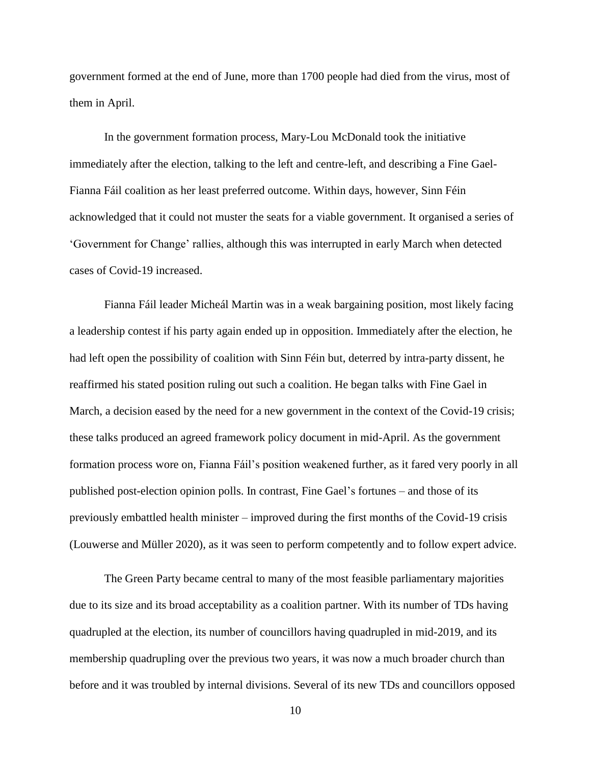government formed at the end of June, more than 1700 people had died from the virus, most of them in April.

In the government formation process, Mary-Lou McDonald took the initiative immediately after the election, talking to the left and centre-left, and describing a Fine Gael-Fianna Fáil coalition as her least preferred outcome. Within days, however, Sinn Féin acknowledged that it could not muster the seats for a viable government. It organised a series of 'Government for Change' rallies, although this was interrupted in early March when detected cases of Covid-19 increased.

Fianna Fáil leader Micheál Martin was in a weak bargaining position, most likely facing a leadership contest if his party again ended up in opposition. Immediately after the election, he had left open the possibility of coalition with Sinn Féin but, deterred by intra-party dissent, he reaffirmed his stated position ruling out such a coalition. He began talks with Fine Gael in March, a decision eased by the need for a new government in the context of the Covid-19 crisis; these talks produced an agreed framework policy document in mid-April. As the government formation process wore on, Fianna Fáil's position weakened further, as it fared very poorly in all published post-election opinion polls. In contrast, Fine Gael's fortunes – and those of its previously embattled health minister – improved during the first months of the Covid-19 crisis (Louwerse and Müller 2020), as it was seen to perform competently and to follow expert advice.

The Green Party became central to many of the most feasible parliamentary majorities due to its size and its broad acceptability as a coalition partner. With its number of TDs having quadrupled at the election, its number of councillors having quadrupled in mid-2019, and its membership quadrupling over the previous two years, it was now a much broader church than before and it was troubled by internal divisions. Several of its new TDs and councillors opposed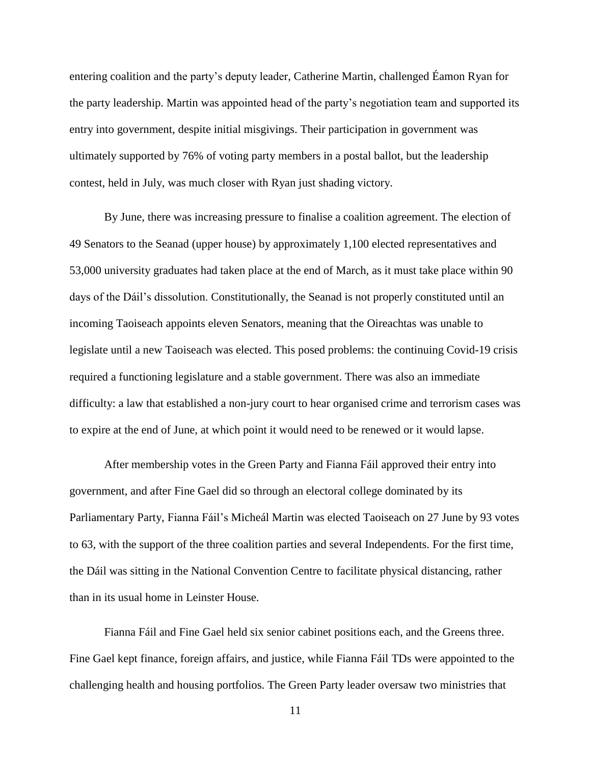entering coalition and the party's deputy leader, Catherine Martin, challenged Éamon Ryan for the party leadership. Martin was appointed head of the party's negotiation team and supported its entry into government, despite initial misgivings. Their participation in government was ultimately supported by 76% of voting party members in a postal ballot, but the leadership contest, held in July, was much closer with Ryan just shading victory.

By June, there was increasing pressure to finalise a coalition agreement. The election of 49 Senators to the Seanad (upper house) by approximately 1,100 elected representatives and 53,000 university graduates had taken place at the end of March, as it must take place within 90 days of the Dáil's dissolution. Constitutionally, the Seanad is not properly constituted until an incoming Taoiseach appoints eleven Senators, meaning that the Oireachtas was unable to legislate until a new Taoiseach was elected. This posed problems: the continuing Covid-19 crisis required a functioning legislature and a stable government. There was also an immediate difficulty: a law that established a non-jury court to hear organised crime and terrorism cases was to expire at the end of June, at which point it would need to be renewed or it would lapse.

After membership votes in the Green Party and Fianna Fáil approved their entry into government, and after Fine Gael did so through an electoral college dominated by its Parliamentary Party, Fianna Fáil's Micheál Martin was elected Taoiseach on 27 June by 93 votes to 63, with the support of the three coalition parties and several Independents. For the first time, the Dáil was sitting in the National Convention Centre to facilitate physical distancing, rather than in its usual home in Leinster House.

Fianna Fáil and Fine Gael held six senior cabinet positions each, and the Greens three. Fine Gael kept finance, foreign affairs, and justice, while Fianna Fáil TDs were appointed to the challenging health and housing portfolios. The Green Party leader oversaw two ministries that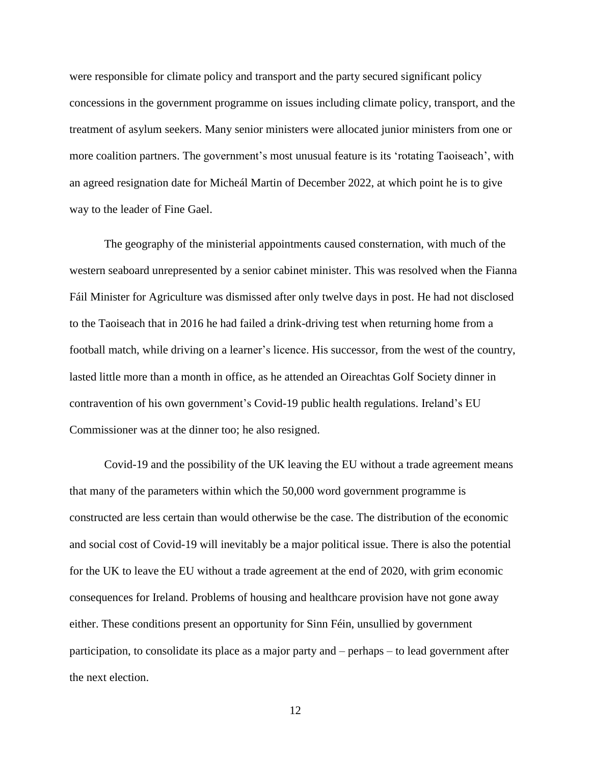were responsible for climate policy and transport and the party secured significant policy concessions in the government programme on issues including climate policy, transport, and the treatment of asylum seekers. Many senior ministers were allocated junior ministers from one or more coalition partners. The government's most unusual feature is its 'rotating Taoiseach', with an agreed resignation date for Micheál Martin of December 2022, at which point he is to give way to the leader of Fine Gael.

The geography of the ministerial appointments caused consternation, with much of the western seaboard unrepresented by a senior cabinet minister. This was resolved when the Fianna Fáil Minister for Agriculture was dismissed after only twelve days in post. He had not disclosed to the Taoiseach that in 2016 he had failed a drink-driving test when returning home from a football match, while driving on a learner's licence. His successor, from the west of the country, lasted little more than a month in office, as he attended an Oireachtas Golf Society dinner in contravention of his own government's Covid-19 public health regulations. Ireland's EU Commissioner was at the dinner too; he also resigned.

Covid-19 and the possibility of the UK leaving the EU without a trade agreement means that many of the parameters within which the 50,000 word government programme is constructed are less certain than would otherwise be the case. The distribution of the economic and social cost of Covid-19 will inevitably be a major political issue. There is also the potential for the UK to leave the EU without a trade agreement at the end of 2020, with grim economic consequences for Ireland. Problems of housing and healthcare provision have not gone away either. These conditions present an opportunity for Sinn Féin, unsullied by government participation, to consolidate its place as a major party and – perhaps – to lead government after the next election.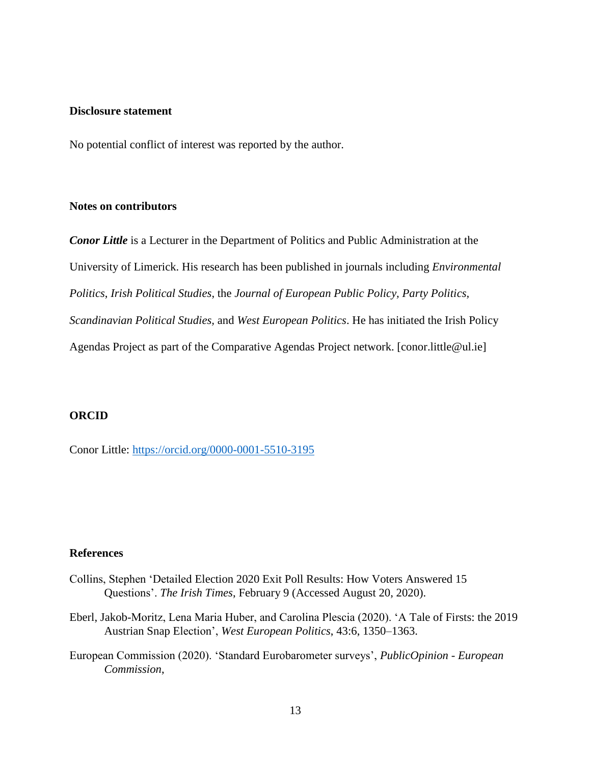#### **Disclosure statement**

No potential conflict of interest was reported by the author.

#### **Notes on contributors**

*Conor Little* is a Lecturer in the Department of Politics and Public Administration at the University of Limerick. His research has been published in journals including *Environmental Politics*, *Irish Political Studies*, the *Journal of European Public Policy, Party Politics, Scandinavian Political Studies,* and *West European Politics*. He has initiated the Irish Policy Agendas Project as part of the Comparative Agendas Project network. [conor.little@ul.ie]

### **ORCID**

Conor Little:<https://orcid.org/0000-0001-5510-3195>

### **References**

- Collins, Stephen 'Detailed Election 2020 Exit Poll Results: How Voters Answered 15 Questions'. *The Irish Times*, February 9 (Accessed August 20, 2020).
- Eberl, Jakob-Moritz, Lena Maria Huber, and Carolina Plescia (2020). 'A Tale of Firsts: the 2019 Austrian Snap Election', *West European Politics*, 43:6, 1350–1363.
- European Commission (2020). 'Standard Eurobarometer surveys', *PublicOpinion - European Commission*,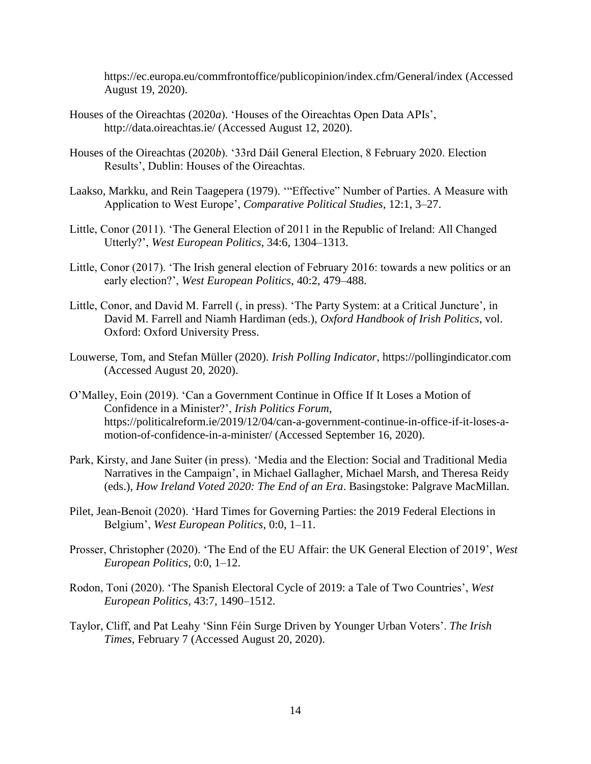https://ec.europa.eu/commfrontoffice/publicopinion/index.cfm/General/index (Accessed August 19, 2020).

- Houses of the Oireachtas (2020*a*). 'Houses of the Oireachtas Open Data APIs', http://data.oireachtas.ie/ (Accessed August 12, 2020).
- Houses of the Oireachtas (2020*b*). '33rd Dáil General Election, 8 February 2020. Election Results', Dublin: Houses of the Oireachtas.
- Laakso, Markku, and Rein Taagepera (1979). '"Effective" Number of Parties. A Measure with Application to West Europe', *Comparative Political Studies*, 12:1, 3–27.
- Little, Conor (2011). 'The General Election of 2011 in the Republic of Ireland: All Changed Utterly?', *West European Politics*, 34:6, 1304–1313.
- Little, Conor (2017). 'The Irish general election of February 2016: towards a new politics or an early election?', *West European Politics*, 40:2, 479–488.
- Little, Conor, and David M. Farrell (, in press). 'The Party System: at a Critical Juncture', in David M. Farrell and Niamh Hardiman (eds.), *Oxford Handbook of Irish Politics*, vol. Oxford: Oxford University Press.
- Louwerse, Tom, and Stefan Müller (2020). *Irish Polling Indicator*, https://pollingindicator.com (Accessed August 20, 2020).
- O'Malley, Eoin (2019). 'Can a Government Continue in Office If It Loses a Motion of Confidence in a Minister?', *Irish Politics Forum*, https://politicalreform.ie/2019/12/04/can-a-government-continue-in-office-if-it-loses-amotion-of-confidence-in-a-minister/ (Accessed September 16, 2020).
- Park, Kirsty, and Jane Suiter (in press). 'Media and the Election: Social and Traditional Media Narratives in the Campaign', in Michael Gallagher, Michael Marsh, and Theresa Reidy (eds.), *How Ireland Voted 2020: The End of an Era*. Basingstoke: Palgrave MacMillan.
- Pilet, Jean-Benoit (2020). 'Hard Times for Governing Parties: the 2019 Federal Elections in Belgium', *West European Politics*, 0:0, 1–11.
- Prosser, Christopher (2020). 'The End of the EU Affair: the UK General Election of 2019', *West European Politics*, 0:0, 1–12.
- Rodon, Toni (2020). 'The Spanish Electoral Cycle of 2019: a Tale of Two Countries', *West European Politics*, 43:7, 1490–1512.
- Taylor, Cliff, and Pat Leahy 'Sinn Féin Surge Driven by Younger Urban Voters'. *The Irish Times*, February 7 (Accessed August 20, 2020).